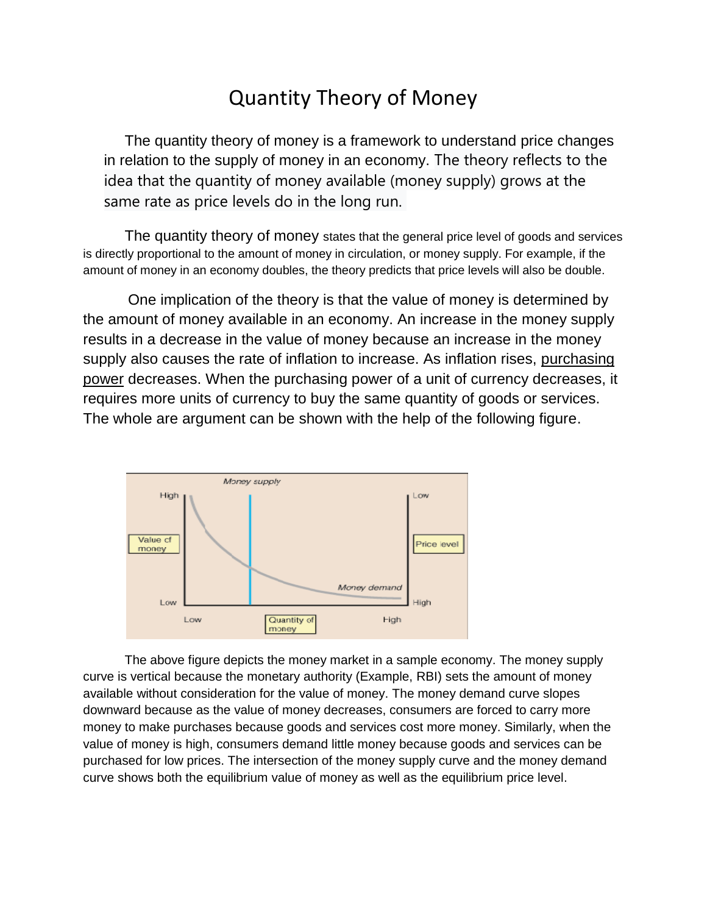# Quantity Theory of Money

The quantity theory of money is a framework to understand price changes in relation to the supply of money in an economy. The theory reflects to the idea that the quantity of [money](https://corporatefinanceinstitute.com/resources/knowledge/accounting/cash-money/) available (money supply) grows at the same rate as price levels do in the long run.

The quantity theory of money states that the general price level of goods and services is directly proportional to the amount of money in circulation, or [money supply.](https://en.wikipedia.org/wiki/Money_supply) For example, if the amount of money in an economy doubles, the theory predicts that price levels will also be double.

One implication of the theory is that the value of money is determined by the amount of money available in an economy. An increase in the money supply results in a decrease in the value of money because an increase in the money supply also causes the rate of inflation to increase. As inflation rises, purchasing [power](https://www.investopedia.com/terms/p/purchasingpower.asp) decreases. When the purchasing power of a unit of currency decreases, it requires more units of currency to buy the same quantity of goods or services. The whole are argument can be shown with the help of the following figure.



The above figure depicts the money market in a sample economy. The money supply curve is vertical because the monetary authority (Example, RBI) sets the amount of money available without consideration for the value of money. The money demand curve slopes downward because as the value of money decreases, consumers are forced to carry more money to make purchases because goods and services cost more money. Similarly, when the value of money is high, consumers demand little money because goods and services can be purchased for low prices. The intersection of the money supply curve and the money demand curve shows both the equilibrium value of money as well as the equilibrium price level.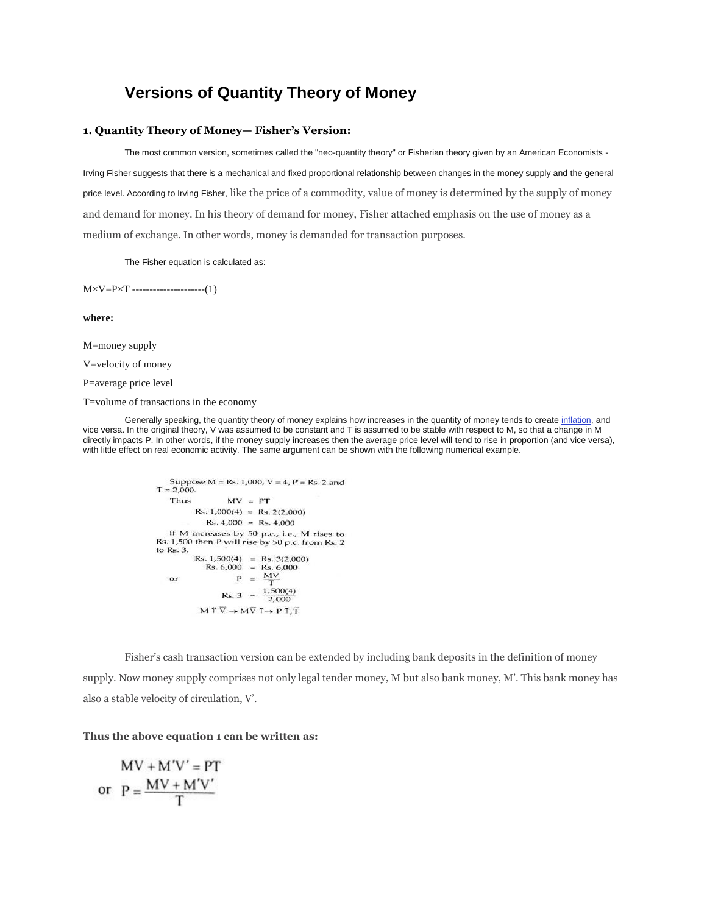## **Versions of Quantity Theory of Money**

#### **1. Quantity Theory of Money— Fisher's Version:**

The most common version, sometimes called the "neo-quantity theory" or Fisherian theory given by an American Economists -Irving Fisher suggests that there is a mechanical and fixed proportional relationship between changes in the money supply and the general

price level. According to Irving Fisher, like the price of a commodity, value of money is determined by the supply of money and demand for money. In his theory of demand for money, Fisher attached emphasis on the use of money as a medium of exchange. In other words, money is demanded for transaction purposes.

The Fisher equation is calculated as:

 $M \times V = P \times T$  ---------------------(1)

**where:**

M=money supply

V=velocity of money

P=average price level

T=volume of transactions in the economy

Generally speaking, the quantity theory of money explains how increases in the quantity of money tends to create [inflation,](https://www.investopedia.com/terms/i/inflation.asp) and vice versa. In the original theory, V was assumed to be constant and T is assumed to be stable with respect to M, so that a change in M directly impacts P. In other words, if the money supply increases then the average price level will tend to rise in proportion (and vice versa), with little effect on real economic activity. The same argument can be shown with the following numerical example.

```
Suppose M = Rs. 1,000, V = 4, P = Rs. 2 andT = 2,000.Thus
                           MV = PTRs. 1,000(4) = Rs. 2(2,000)
                  Rs. 4,000 = Rs. 4,000If M increases by 50 p.c., i.e., M rises to
 Rs. 1,500 then P will rise by 50 p.c. from Rs. 2
Rs. 1,500 then P will rise by 50 p.c. frd<br>to Rs. 3.<br>Rs. 1,500(4) = Rs. 3(2,000)<br>Rs. 6,000 = Rs. 6,000<br>or P = \frac{MV}{T}<br>R = 3(2.000)Rs. 3 = \frac{1,500(4)}{2,000}M \uparrow \overline{V} \rightarrow M \overline{V} \uparrow \rightarrow P \uparrow, \overline{T}
```
Fisher's cash transaction version can be extended by including bank deposits in the definition of money supply. Now money supply comprises not only legal tender money, M but also bank money, M'. This bank money has also a stable velocity of circulation, V'.

### **Thus the above equation 1 can be written as:**

$$
MV + M'V' = PT
$$
  
or 
$$
P = \frac{MV + M'V'}{T}
$$